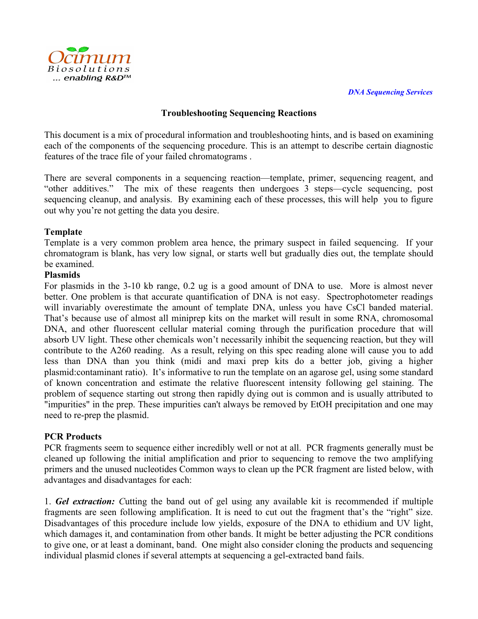

## **Troubleshooting Sequencing Reactions**

This document is a mix of procedural information and troubleshooting hints, and is based on examining each of the components of the sequencing procedure. This is an attempt to describe certain diagnostic features of the trace file of your failed chromatograms .

There are several components in a sequencing reaction—template, primer, sequencing reagent, and "other additives." The mix of these reagents then undergoes 3 steps—cycle sequencing, post sequencing cleanup, and analysis. By examining each of these processes, this will help you to figure out why you're not getting the data you desire.

## **Template**

Template is a very common problem area hence, the primary suspect in failed sequencing. If your chromatogram is blank, has very low signal, or starts well but gradually dies out, the template should be examined.

## **Plasmids**

For plasmids in the 3-10 kb range, 0.2 ug is a good amount of DNA to use. More is almost never better. One problem is that accurate quantification of DNA is not easy. Spectrophotometer readings will invariably overestimate the amount of template DNA, unless you have CsCl banded material. That's because use of almost all miniprep kits on the market will result in some RNA, chromosomal DNA, and other fluorescent cellular material coming through the purification procedure that will absorb UV light. These other chemicals won't necessarily inhibit the sequencing reaction, but they will contribute to the A260 reading. As a result, relying on this spec reading alone will cause you to add less than DNA than you think (midi and maxi prep kits do a better job, giving a higher plasmid:contaminant ratio). It's informative to run the template on an agarose gel, using some standard of known concentration and estimate the relative fluorescent intensity following gel staining. The problem of sequence starting out strong then rapidly dying out is common and is usually attributed to "impurities" in the prep. These impurities can't always be removed by EtOH precipitation and one may need to re-prep the plasmid.

# **PCR Products**

PCR fragments seem to sequence either incredibly well or not at all. PCR fragments generally must be cleaned up following the initial amplification and prior to sequencing to remove the two amplifying primers and the unused nucleotides Common ways to clean up the PCR fragment are listed below, with advantages and disadvantages for each:

1. *Gel extraction: C*utting the band out of gel using any available kit is recommended if multiple fragments are seen following amplification. It is need to cut out the fragment that's the "right" size. Disadvantages of this procedure include low yields, exposure of the DNA to ethidium and UV light, which damages it, and contamination from other bands. It might be better adjusting the PCR conditions to give one, or at least a dominant, band. One might also consider cloning the products and sequencing individual plasmid clones if several attempts at sequencing a gel-extracted band fails.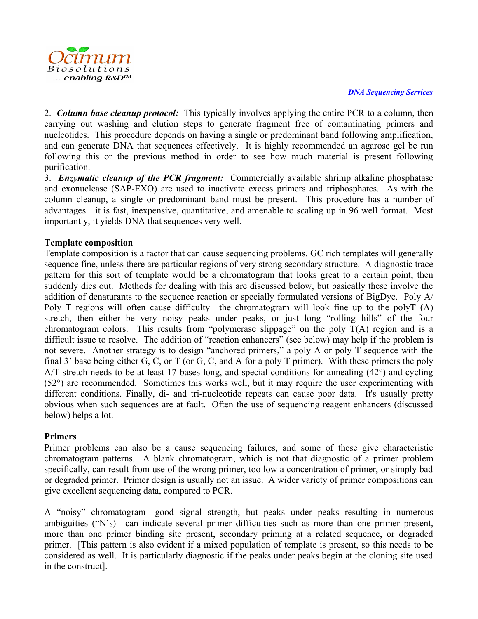

#### *DNA Sequencing Services*

2. *Column base cleanup protocol:* This typically involves applying the entire PCR to a column, then carrying out washing and elution steps to generate fragment free of contaminating primers and nucleotides. This procedure depends on having a single or predominant band following amplification, and can generate DNA that sequences effectively. It is highly recommended an agarose gel be run following this or the previous method in order to see how much material is present following purification.

3. *Enzymatic cleanup of the PCR fragment:* Commercially available shrimp alkaline phosphatase and exonuclease (SAP-EXO) are used to inactivate excess primers and triphosphates. As with the column cleanup, a single or predominant band must be present. This procedure has a number of advantages—it is fast, inexpensive, quantitative, and amenable to scaling up in 96 well format. Most importantly, it yields DNA that sequences very well.

## **Template composition**

Template composition is a factor that can cause sequencing problems. GC rich templates will generally sequence fine, unless there are particular regions of very strong secondary structure. A diagnostic trace pattern for this sort of template would be a chromatogram that looks great to a certain point, then suddenly dies out. Methods for dealing with this are discussed below, but basically these involve the addition of denaturants to the sequence reaction or specially formulated versions of BigDye. Poly A/ Poly T regions will often cause difficulty—the chromatogram will look fine up to the polyT (A) stretch, then either be very noisy peaks under peaks, or just long "rolling hills" of the four chromatogram colors. This results from "polymerase slippage" on the poly  $T(A)$  region and is a difficult issue to resolve. The addition of "reaction enhancers" (see below) may help if the problem is not severe. Another strategy is to design "anchored primers," a poly A or poly T sequence with the final 3' base being either G, C, or T (or G, C, and A for a poly T primer). With these primers the poly A/T stretch needs to be at least 17 bases long, and special conditions for annealing (42°) and cycling (52°) are recommended. Sometimes this works well, but it may require the user experimenting with different conditions. Finally, di- and tri-nucleotide repeats can cause poor data. It's usually pretty obvious when such sequences are at fault. Often the use of sequencing reagent enhancers (discussed below) helps a lot.

# **Primers**

Primer problems can also be a cause sequencing failures, and some of these give characteristic chromatogram patterns. A blank chromatogram, which is not that diagnostic of a primer problem specifically, can result from use of the wrong primer, too low a concentration of primer, or simply bad or degraded primer. Primer design is usually not an issue. A wider variety of primer compositions can give excellent sequencing data, compared to PCR.

A "noisy" chromatogram—good signal strength, but peaks under peaks resulting in numerous ambiguities ("N's)—can indicate several primer difficulties such as more than one primer present, more than one primer binding site present, secondary priming at a related sequence, or degraded primer. [This pattern is also evident if a mixed population of template is present, so this needs to be considered as well. It is particularly diagnostic if the peaks under peaks begin at the cloning site used in the construct].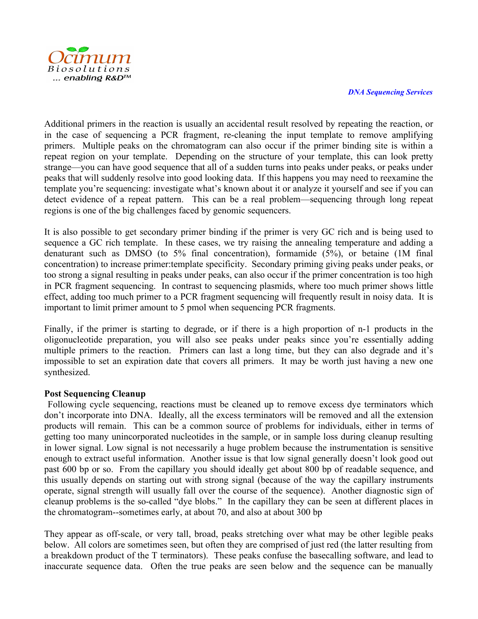

#### *DNA Sequencing Services*

Additional primers in the reaction is usually an accidental result resolved by repeating the reaction, or in the case of sequencing a PCR fragment, re-cleaning the input template to remove amplifying primers. Multiple peaks on the chromatogram can also occur if the primer binding site is within a repeat region on your template. Depending on the structure of your template, this can look pretty strange—you can have good sequence that all of a sudden turns into peaks under peaks, or peaks under peaks that will suddenly resolve into good looking data. If this happens you may need to reexamine the template you're sequencing: investigate what's known about it or analyze it yourself and see if you can detect evidence of a repeat pattern. This can be a real problem—sequencing through long repeat regions is one of the big challenges faced by genomic sequencers.

It is also possible to get secondary primer binding if the primer is very GC rich and is being used to sequence a GC rich template. In these cases, we try raising the annealing temperature and adding a denaturant such as DMSO (to 5% final concentration), formamide (5%), or betaine (1M final concentration) to increase primer:template specificity. Secondary priming giving peaks under peaks, or too strong a signal resulting in peaks under peaks, can also occur if the primer concentration is too high in PCR fragment sequencing. In contrast to sequencing plasmids, where too much primer shows little effect, adding too much primer to a PCR fragment sequencing will frequently result in noisy data. It is important to limit primer amount to 5 pmol when sequencing PCR fragments.

Finally, if the primer is starting to degrade, or if there is a high proportion of n-1 products in the oligonucleotide preparation, you will also see peaks under peaks since you're essentially adding multiple primers to the reaction. Primers can last a long time, but they can also degrade and it's impossible to set an expiration date that covers all primers. It may be worth just having a new one synthesized.

## **Post Sequencing Cleanup**

Following cycle sequencing, reactions must be cleaned up to remove excess dye terminators which don't incorporate into DNA. Ideally, all the excess terminators will be removed and all the extension products will remain. This can be a common source of problems for individuals, either in terms of getting too many unincorporated nucleotides in the sample, or in sample loss during cleanup resulting in lower signal. Low signal is not necessarily a huge problem because the instrumentation is sensitive enough to extract useful information. Another issue is that low signal generally doesn't look good out past 600 bp or so. From the capillary you should ideally get about 800 bp of readable sequence, and this usually depends on starting out with strong signal (because of the way the capillary instruments operate, signal strength will usually fall over the course of the sequence). Another diagnostic sign of cleanup problems is the so-called "dye blobs." In the capillary they can be seen at different places in the chromatogram--sometimes early, at about 70, and also at about 300 bp

They appear as off-scale, or very tall, broad, peaks stretching over what may be other legible peaks below. All colors are sometimes seen, but often they are comprised of just red (the latter resulting from a breakdown product of the T terminators). These peaks confuse the basecalling software, and lead to inaccurate sequence data. Often the true peaks are seen below and the sequence can be manually